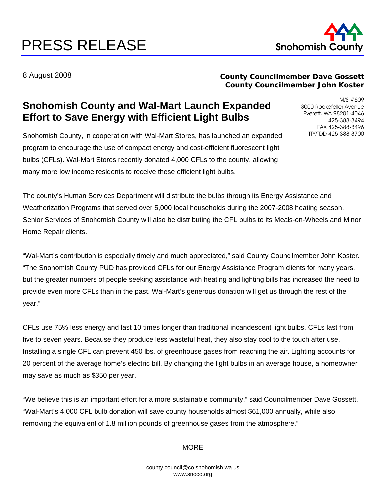# PRESS RELEASE Snohomish County



8 August 2008

### **County Councilmember Dave Gossett County Councilmember John Koster**

## **Snohomish County and Wal-Mart Launch Expanded Effort to Save Energy with Efficient Light Bulbs**

Snohomish County, in cooperation with Wal-Mart Stores, has launched an expanded program to encourage the use of compact energy and cost-efficient fluorescent light bulbs (CFLs). Wal-Mart Stores recently donated 4,000 CFLs to the county, allowing many more low income residents to receive these efficient light bulbs.

M/S #609 3000 Rockefeller Avenue Everett, WA 98201-4046 425-388-3494 FAX 425-388-3496 TTY/TDD 425-388-3700

The county's Human Services Department will distribute the bulbs through its Energy Assistance and Weatherization Programs that served over 5,000 local households during the 2007-2008 heating season. Senior Services of Snohomish County will also be distributing the CFL bulbs to its Meals-on-Wheels and Minor Home Repair clients.

"Wal-Mart's contribution is especially timely and much appreciated," said County Councilmember John Koster. "The Snohomish County PUD has provided CFLs for our Energy Assistance Program clients for many years, but the greater numbers of people seeking assistance with heating and lighting bills has increased the need to provide even more CFLs than in the past. Wal-Mart's generous donation will get us through the rest of the year."

CFLs use 75% less energy and last 10 times longer than traditional incandescent light bulbs. CFLs last from five to seven years. Because they produce less wasteful heat, they also stay cool to the touch after use. Installing a single CFL can prevent 450 lbs. of greenhouse gases from reaching the air. Lighting accounts for 20 percent of the average home's electric bill. By changing the light bulbs in an average house, a homeowner may save as much as \$350 per year.

"We believe this is an important effort for a more sustainable community," said Councilmember Dave Gossett. "Wal-Mart's 4,000 CFL bulb donation will save county households almost \$61,000 annually, while also removing the equivalent of 1.8 million pounds of greenhouse gases from the atmosphere."

#### **MORE**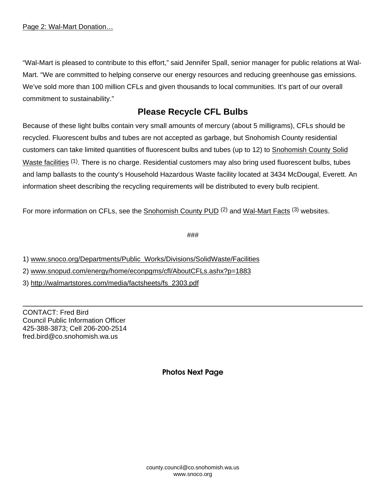"Wal-Mart is pleased to contribute to this effort," said Jennifer Spall, senior manager for public relations at Wal-Mart. "We are committed to helping conserve our energy resources and reducing greenhouse gas emissions. We've sold more than 100 million CFLs and given thousands to local communities. It's part of our overall commitment to sustainability."

## **Please Recycle CFL Bulbs**

Because of these light bulbs contain very small amounts of mercury (about 5 milligrams), CFLs should be recycled. Fluorescent bulbs and tubes are not accepted as garbage, but Snohomish County residential customers can take limited quantities of fluorescent bulbs and tubes (up to 12) to [Snohomish County Solid](http://www1.co.snohomish.wa.us/Departments/Public_Works/Divisions/SolidWaste/Facilities/)  [Waste facilities](http://www1.co.snohomish.wa.us/Departments/Public_Works/Divisions/SolidWaste/Facilities/) <sup>(1)</sup>. There is no charge. Residential customers may also bring used fluorescent bulbs, tubes and lamp ballasts to the county's Household Hazardous Waste facility located at 3434 McDougal, Everett. An information sheet describing the recycling requirements will be distributed to every bulb recipient.

For more information on CFLs, see the [Snohomish County PUD](http://www.snopud.com/energy/home/econpgms/cfl/AboutCFLs.ashx?p=1883) <sup>(2)</sup> and [Wal-Mart Facts](http://walmartstores.com/media/factsheets/fs_2303.pdf) <sup>(3)</sup> websites.

###

1) [www.snoco.org/Departments/Public\\_Works/Divisions/SolidWaste/Facilities](http://www1.co.snohomish.wa.us/Departments/Public_Works/Divisions/SolidWaste/Facilities/)

2) [www.snopud.com/energy/home/econpgms/cfl/AboutCFLs.ashx?p=1883](http://www.snopud.com/energy/home/econpgms/cfl/AboutCFLs.ashx?p=1883)

3) [http://walmartstores.com/media/factsheets/fs\\_2303.pdf](http://walmartstores.com/media/factsheets/fs_2303.pdf)

CONTACT: Fred Bird Council Public Information Officer 425-388-3873; Cell 206-200-2514 fred.bird@co.snohomish.wa.us

Photos Next Page